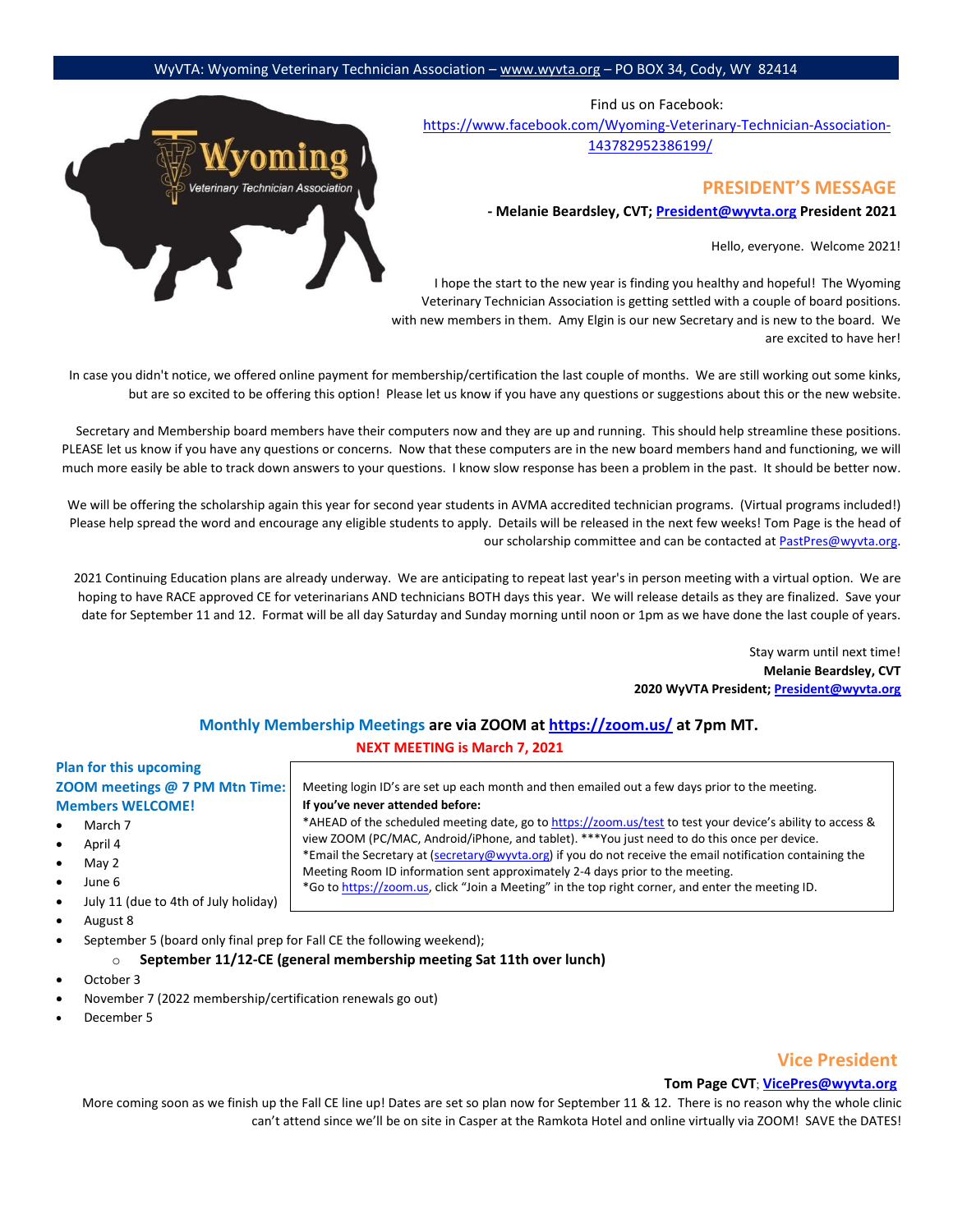Find us on Facebook: [https://www.facebook.com/Wyoming-Veterinary-Technician-Association-](https://www.facebook.com/Wyoming-Veterinary-Technician-Association-143782952386199/)[143782952386199/](https://www.facebook.com/Wyoming-Veterinary-Technician-Association-143782952386199/)

#### **PRESIDENT'S MESSAGE**

**- Melanie Beardsley, CVT; President@wyvta.org President 2021**

Hello, everyone. Welcome 2021!

I hope the start to the new year is finding you healthy and hopeful! The Wyoming Veterinary Technician Association is getting settled with a couple of board positions. with new members in them. Amy Elgin is our new Secretary and is new to the board. We are excited to have her!

In case you didn't notice, we offered online payment for membership/certification the last couple of months. We are still working out some kinks, but are so excited to be offering this option! Please let us know if you have any questions or suggestions about this or the new website.

Secretary and Membership board members have their computers now and they are up and running. This should help streamline these positions. PLEASE let us know if you have any questions or concerns. Now that these computers are in the new board members hand and functioning, we will much more easily be able to track down answers to your questions. I know slow response has been a problem in the past. It should be better now.

We will be offering the scholarship again this year for second year students in AVMA accredited technician programs. (Virtual programs included!) Please help spread the word and encourage any eligible students to apply. Details will be released in the next few weeks! Tom Page is the head of our scholarship committee and can be contacted at [PastPres@wyvta.org.](mailto:PastPres@wyvta.org)

2021 Continuing Education plans are already underway. We are anticipating to repeat last year's in person meeting with a virtual option. We are hoping to have RACE approved CE for veterinarians AND technicians BOTH days this year. We will release details as they are finalized. Save your date for September 11 and 12. Format will be all day Saturday and Sunday morning until noon or 1pm as we have done the last couple of years.

> Stay warm until next time! **Melanie Beardsley, CVT 2020 WyVTA President; [President@wyvta.org](mailto:President@wyvta.org)**

#### **Monthly Membership Meetings are via ZOOM [at https://zoom.us/](https://zoom.us/) [a](https://zoom.us/)t 7pm MT. NEXT MEETING is March 7, 2021**

Meeting login ID's are set up each month and then emailed out a few days prior to the meeting.

view ZOOM (PC/MAC, Android/iPhone, and tablet). \*\*\*You just need to do this once per device. \*Email the Secretary at (secretary@wyvta.org) if you do not receive the email notification containing the

\*Go [to https://zoom.us,](https://zoom.us/) click "Join a Meeting" in the top right corner, and enter the meeting ID.

Meeting Room ID information sent approximately 2-4 days prior to the meeting.

\*AHEAD of the scheduled meeting date, go [to https://zoom.us/test](https://zoom.us/test) [to](https://zoom.us/test) test your device's ability to access &

#### **Plan for this upcoming ZOOM meetings @ 7 PM Mtn Time: Members WELCOME!**

- March 7
- April 4
- May 2
- June 6
- July 11 (due to 4th of July holiday)
- August 8
- September 5 (board only final prep for Fall CE the following weekend);

#### o **September 11/12-CE (general membership meeting Sat 11th over lunch)**

**If you've never attended before:** 

- October 3
- November 7 (2022 membership/certification renewals go out)
- December 5

#### **Vice President**

#### **Tom Page CVT**; **VicePres@wyvta.org**

More coming soon as we finish up the Fall CE line up! Dates are set so plan now for September 11 & 12. There is no reason why the whole clinic can't attend since we'll be on site in Casper at the Ramkota Hotel and online virtually via ZOOM! SAVE the DATES!

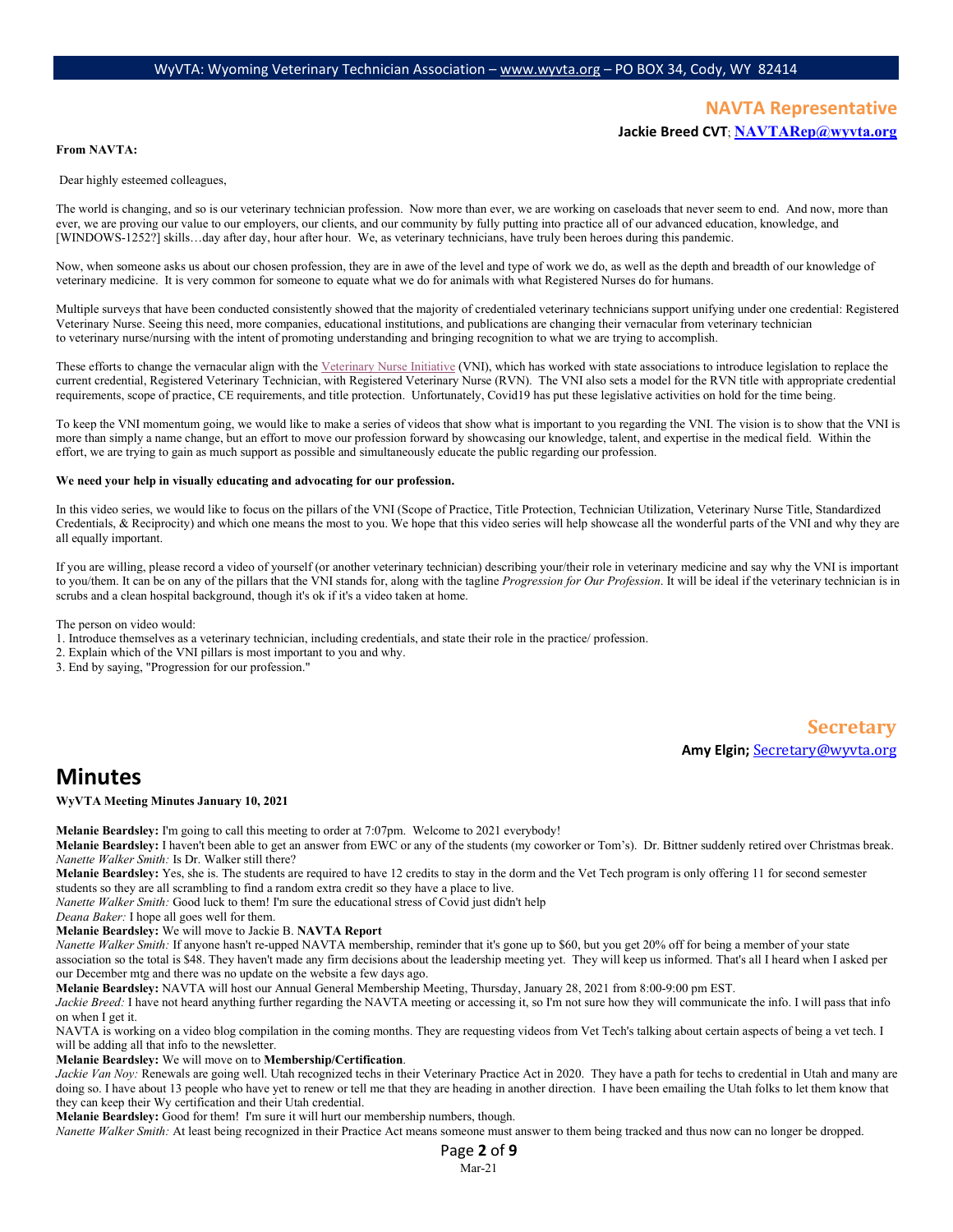#### **NAVTA Representative Jackie Breed CVT**; **NAVTARep@wyvta.org**

#### **From NAVTA:**

Dear highly esteemed colleagues,

The world is changing, and so is our veterinary technician profession. Now more than ever, we are working on caseloads that never seem to end. And now, more than ever, we are proving our value to our employers, our clients, and our community by fully putting into practice all of our advanced education, knowledge, and [WINDOWS-1252?] skills…day after day, hour after hour. We, as veterinary technicians, have truly been heroes during this pandemic.

Now, when someone asks us about our chosen profession, they are in awe of the level and type of work we do, as well as the depth and breadth of our knowledge of veterinary medicine. It is very common for someone to equate what we do for animals with what Registered Nurses do for humans.

Multiple surveys that have been conducted consistently showed that the majority of credentialed veterinary technicians support unifying under one credential: Registered Veterinary Nurse. Seeing this need, more companies, educational institutions, and publications are changing their vernacular from veterinary technician to veterinary nurse/nursing with the intent of promoting understanding and bringing recognition to what we are trying to accomplish.

These efforts to change the vernacular align with the [Veterinary Nurse Initiative](https://veterinarynurse.org/) (VNI), which has worked with state associations to introduce legislation to replace the current credential, Registered Veterinary Technician, with Registered Veterinary Nurse (RVN). The VNI also sets a model for the RVN title with appropriate credential requirements, scope of practice, CE requirements, and title protection. Unfortunately, Covid19 has put these legislative activities on hold for the time being.

To keep the VNI momentum going, we would like to make a series of videos that show what is important to you regarding the VNI. The vision is to show that the VNI is more than simply a name change, but an effort to move our profession forward by showcasing our knowledge, talent, and expertise in the medical field. Within the effort, we are trying to gain as much support as possible and simultaneously educate the public regarding our profession.

#### **We need your help in visually educating and advocating for our profession.**

In this video series, we would like to focus on the pillars of the VNI (Scope of Practice, Title Protection, Technician Utilization, Veterinary Nurse Title, Standardized Credentials, & Reciprocity) and which one means the most to you. We hope that this video series will help showcase all the wonderful parts of the VNI and why they are all equally important.

If you are willing, please record a video of yourself (or another veterinary technician) describing your/their role in veterinary medicine and say why the VNI is important to you/them. It can be on any of the pillars that the VNI stands for, along with the tagline *Progression for Our Profession*. It will be ideal if the veterinary technician is in scrubs and a clean hospital background, though it's ok if it's a video taken at home.

The person on video would:

1. Introduce themselves as a veterinary technician, including credentials, and state their role in the practice/ profession.

2. Explain which of the VNI pillars is most important to you and why.

3. End by saying, "Progression for our profession."

#### **Secretary Amy Elgin;** Secretary@wyvta.org

**Minutes**

**WyVTA Meeting Minutes January 10, 2021**

**Melanie Beardsley:** I'm going to call this meeting to order at 7:07pm. Welcome to 2021 everybody!

**Melanie Beardsley:** I haven't been able to get an answer from EWC or any of the students (my coworker or Tom's). Dr. Bittner suddenly retired over Christmas break. *Nanette Walker Smith:* Is Dr. Walker still there?

**Melanie Beardsley:** Yes, she is. The students are required to have 12 credits to stay in the dorm and the Vet Tech program is only offering 11 for second semester students so they are all scrambling to find a random extra credit so they have a place to live.

*Nanette Walker Smith:* Good luck to them! I'm sure the educational stress of Covid just didn't help

*Deana Baker:* I hope all goes well for them.

**Melanie Beardsley:** We will move to Jackie B. **NAVTA Report**

*Nanette Walker Smith:* If anyone hasn't re-upped NAVTA membership, reminder that it's gone up to \$60, but you get 20% off for being a member of your state association so the total is \$48. They haven't made any firm decisions about the leadership meeting yet. They will keep us informed. That's all I heard when I asked per our December mtg and there was no update on the website a few days ago.

**Melanie Beardsley:** NAVTA will host our Annual General Membership Meeting, Thursday, January 28, 2021 from 8:00-9:00 pm EST.

Jackie Breed: I have not heard anything further regarding the NAVTA meeting or accessing it, so I'm not sure how they will communicate the info. I will pass that info on when I get it.

NAVTA is working on a video blog compilation in the coming months. They are requesting videos from Vet Tech's talking about certain aspects of being a vet tech. I will be adding all that info to the newsletter.

**Melanie Beardsley:** We will move on to **Membership/Certification**.

Jackie Van Noy: Renewals are going well. Utah recognized techs in their Veterinary Practice Act in 2020. They have a path for techs to credential in Utah and many are doing so. I have about 13 people who have yet to renew or tell me that they are heading in another direction. I have been emailing the Utah folks to let them know that they can keep their Wy certification and their Utah credential.

**Melanie Beardsley:** Good for them! I'm sure it will hurt our membership numbers, though.

*Nanette Walker Smith:* At least being recognized in their Practice Act means someone must answer to them being tracked and thus now can no longer be dropped.

Page **2** of **9** Mar-21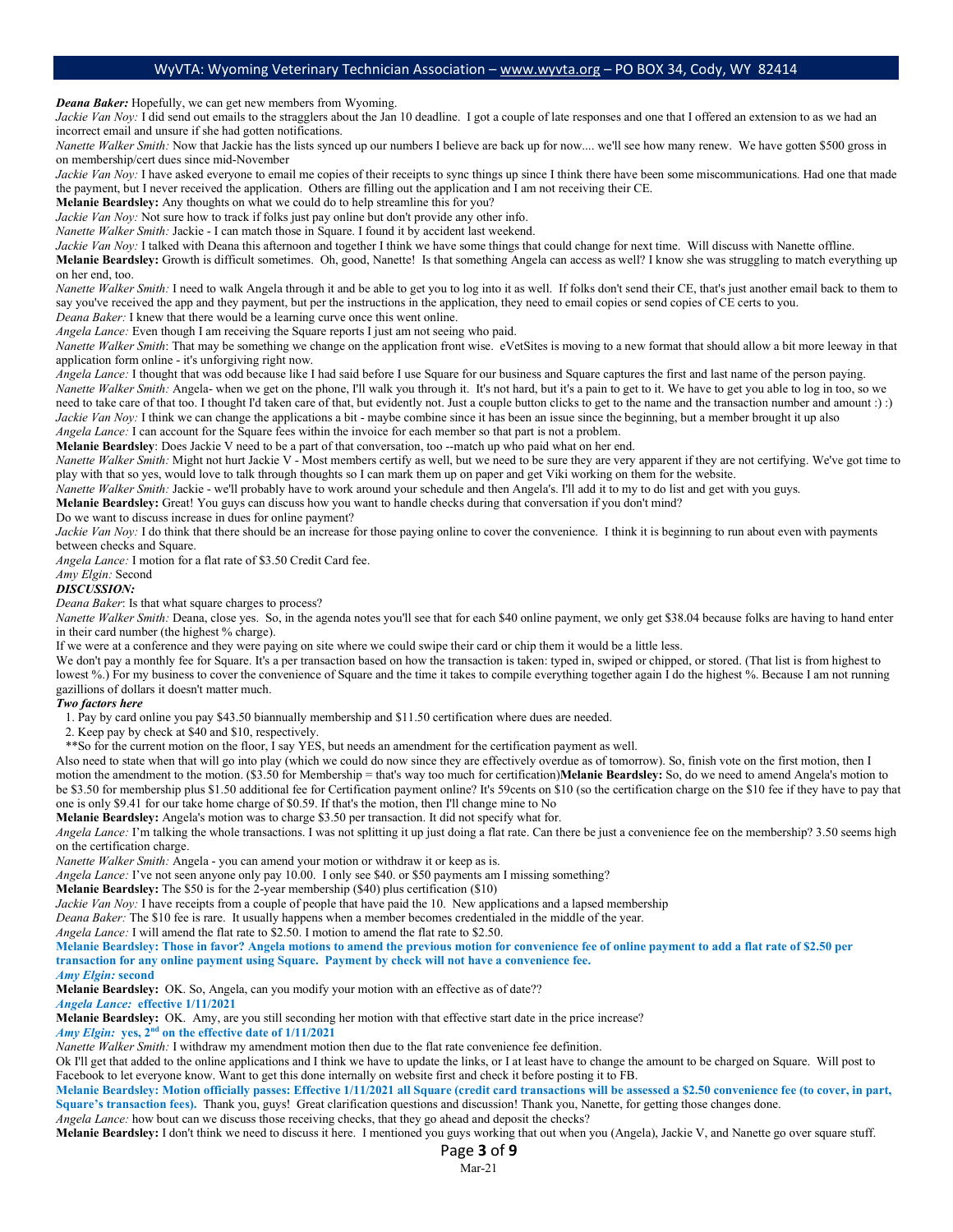*Deana Baker:* Hopefully, we can get new members from Wyoming.

Jackie Van Noy: I did send out emails to the stragglers about the Jan 10 deadline. I got a couple of late responses and one that I offered an extension to as we had an incorrect email and unsure if she had gotten notifications.

*Nanette Walker Smith:* Now that Jackie has the lists synced up our numbers I believe are back up for now.... we'll see how many renew. We have gotten \$500 gross in on membership/cert dues since mid-November

*Jackie Van Noy:* I have asked everyone to email me copies of their receipts to sync things up since I think there have been some miscommunications. Had one that made the payment, but I never received the application. Others are filling out the application and I am not receiving their CE.

**Melanie Beardsley:** Any thoughts on what we could do to help streamline this for you?

*Jackie Van Noy:* Not sure how to track if folks just pay online but don't provide any other info.

*Nanette Walker Smith:* Jackie - I can match those in Square. I found it by accident last weekend.

Jackie Van Noy: I talked with Deana this afternoon and together I think we have some things that could change for next time. Will discuss with Nanette offline.

**Melanie Beardsley:** Growth is difficult sometimes. Oh, good, Nanette! Is that something Angela can access as well? I know she was struggling to match everything up on her end, too.

*Nanette Walker Smith:* I need to walk Angela through it and be able to get you to log into it as well. If folks don't send their CE, that's just another email back to them to say you've received the app and they payment, but per the instructions in the application, they need to email copies or send copies of CE certs to you. *Deana Baker:* I knew that there would be a learning curve once this went online.

*Angela Lance:* Even though I am receiving the Square reports I just am not seeing who paid.

*Nanette Walker Smith*: That may be something we change on the application front wise. eVetSites is moving to a new format that should allow a bit more leeway in that application form online - it's unforgiving right now.

*Angela Lance:* I thought that was odd because like I had said before I use Square for our business and Square captures the first and last name of the person paying. *Nanette Walker Smith:* Angela- when we get on the phone, I'll walk you through it. It's not hard, but it's a pain to get to it. We have to get you able to log in too, so we

need to take care of that too. I thought I'd taken care of that, but evidently not. Just a couple button clicks to get to the name and the transaction number and amount :) :) *Jackie Van Noy:* I think we can change the applications a bit - maybe combine since it has been an issue since the beginning, but a member brought it up also

*Angela Lance:* I can account for the Square fees within the invoice for each member so that part is not a problem.

**Melanie Beardsley**: Does Jackie V need to be a part of that conversation, too --match up who paid what on her end.

*Nanette Walker Smith:* Might not hurt Jackie V - Most members certify as well, but we need to be sure they are very apparent if they are not certifying. We've got time to play with that so yes, would love to talk through thoughts so I can mark them up on paper and get Viki working on them for the website.

*Nanette Walker Smith:* Jackie - we'll probably have to work around your schedule and then Angela's. I'll add it to my to do list and get with you guys.

**Melanie Beardsley:** Great! You guys can discuss how you want to handle checks during that conversation if you don't mind?

Do we want to discuss increase in dues for online payment?

*Jackie Van Noy:* I do think that there should be an increase for those paying online to cover the convenience. I think it is beginning to run about even with payments between checks and Square.

*Angela Lance:* I motion for a flat rate of \$3.50 Credit Card fee.

#### *Amy Elgin:* Second

*DISCUSSION:* 

*Deana Baker*: Is that what square charges to process?

*Nanette Walker Smith:* Deana, close yes. So, in the agenda notes you'll see that for each \$40 online payment, we only get \$38.04 because folks are having to hand enter in their card number (the highest % charge).

If we were at a conference and they were paying on site where we could swipe their card or chip them it would be a little less.

We don't pay a monthly fee for Square. It's a per transaction based on how the transaction is taken: typed in, swiped or chipped, or stored. (That list is from highest to lowest %.) For my business to cover the convenience of Square and the time it takes to compile everything together again 1 do the highest %. Because I am not running gazillions of dollars it doesn't matter much.

#### *Two factors here*

1. Pay by card online you pay \$43.50 biannually membership and \$11.50 certification where dues are needed.

2. Keep pay by check at \$40 and \$10, respectively.

\*\*So for the current motion on the floor, I say YES, but needs an amendment for the certification payment as well.

Also need to state when that will go into play (which we could do now since they are effectively overdue as of tomorrow). So, finish vote on the first motion, then I motion the amendment to the motion. (\$3.50 for Membership = that's way too much for certification)**Melanie Beardsley:** So, do we need to amend Angela's motion to be \$3.50 for membership plus \$1.50 additional fee for Certification payment online? It's 59cents on \$10 (so the certification charge on the \$10 fee if they have to pay that one is only \$9.41 for our take home charge of \$0.59. If that's the motion, then I'll change mine to No

**Melanie Beardsley:** Angela's motion was to charge \$3.50 per transaction. It did not specify what for.

*Angela Lance:* I'm talking the whole transactions. I was not splitting it up just doing a flat rate. Can there be just a convenience fee on the membership? 3.50 seems high on the certification charge.

*Nanette Walker Smith:* Angela - you can amend your motion or withdraw it or keep as is.

*Angela Lance:* I've not seen anyone only pay 10.00. I only see \$40. or \$50 payments am I missing something?

**Melanie Beardsley:** The \$50 is for the 2-year membership (\$40) plus certification (\$10)

*Jackie Van Noy:* I have receipts from a couple of people that have paid the 10. New applications and a lapsed membership

*Deana Baker:* The \$10 fee is rare. It usually happens when a member becomes credentialed in the middle of the year.

*Angela Lance:* I will amend the flat rate to \$2.50. I motion to amend the flat rate to \$2.50.

**Melanie Beardsley: Those in favor? Angela motions to amend the previous motion for convenience fee of online payment to add a flat rate of \$2.50 per transaction for any online payment using Square. Payment by check will not have a convenience fee.**

*Amy Elgin:* **second**

**Melanie Beardsley:** OK. So, Angela, can you modify your motion with an effective as of date??

*Angela Lance:* **effective 1/11/2021 Melanie Beardsley:** OK. Amy, are you still seconding her motion with that effective start date in the price increase?

*Amy Elgin:* **yes, 2nd on the effective date of 1/11/2021**

*Nanette Walker Smith:* I withdraw my amendment motion then due to the flat rate convenience fee definition.

Ok I'll get that added to the online applications and I think we have to update the links, or I at least have to change the amount to be charged on Square. Will post to Facebook to let everyone know. Want to get this done internally on website first and check it before posting it to FB.

**Melanie Beardsley: Motion officially passes: Effective 1/11/2021 all Square (credit card transactions will be assessed a \$2.50 convenience fee (to cover, in part,**  Square's transaction fees). Thank you, guys! Great clarification questions and discussion! Thank you, Nanette, for getting those changes done. *Angela Lance:* how bout can we discuss those receiving checks, that they go ahead and deposit the checks?

**Melanie Beardsley:** I don't think we need to discuss it here. I mentioned you guys working that out when you (Angela), Jackie V, and Nanette go over square stuff.

Page **3** of **9**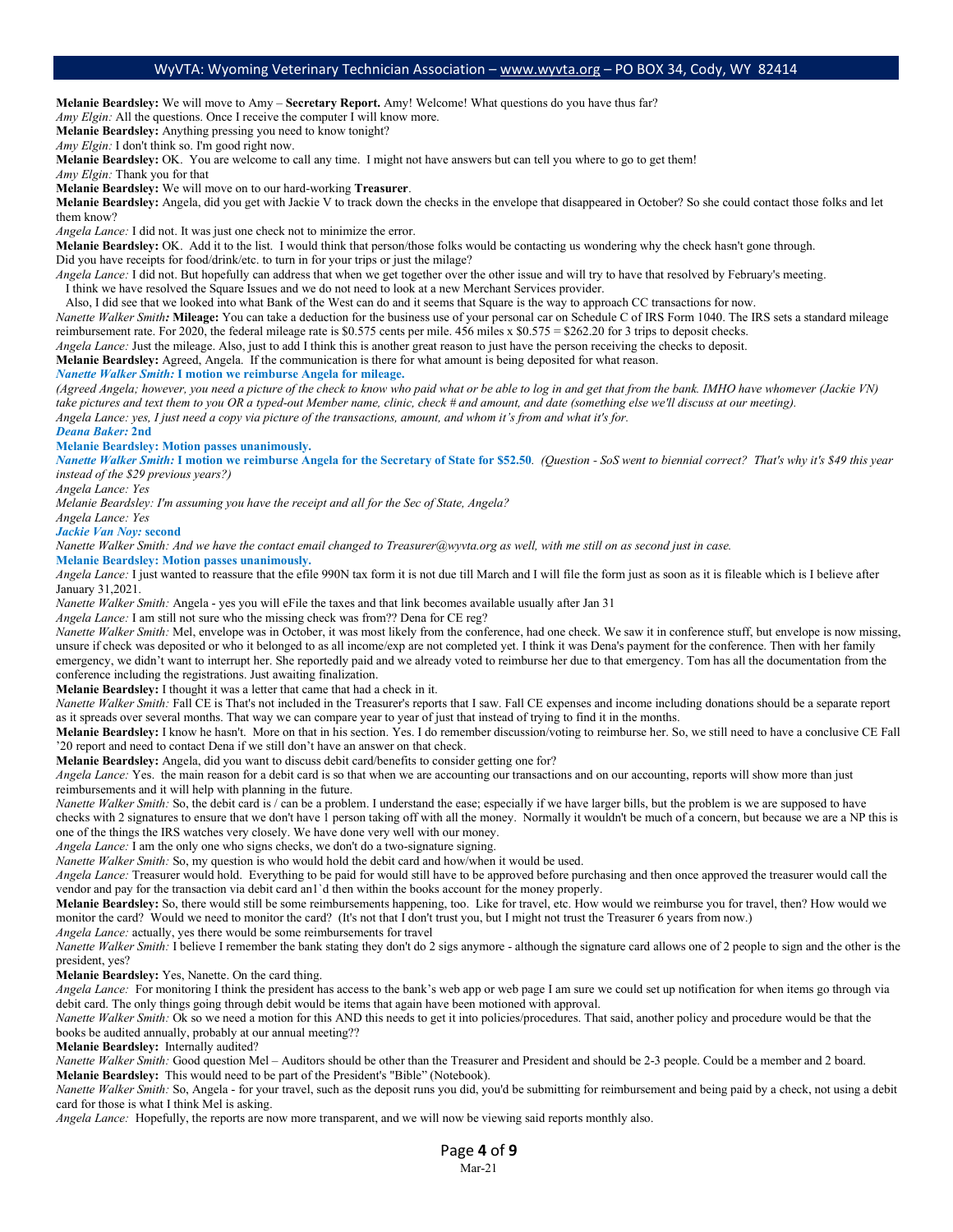**Melanie Beardsley:** We will move to Amy – **Secretary Report.** Amy! Welcome! What questions do you have thus far?

*Amy Elgin:* All the questions. Once I receive the computer I will know more.

**Melanie Beardsley:** Anything pressing you need to know tonight?

*Amy Elgin:* I don't think so. I'm good right now.

**Melanie Beardsley:** OK. You are welcome to call any time. I might not have answers but can tell you where to go to get them!

*Amy Elgin:* Thank you for that

**Melanie Beardsley:** We will move on to our hard-working **Treasurer**.

**Melanie Beardsley:** Angela, did you get with Jackie V to track down the checks in the envelope that disappeared in October? So she could contact those folks and let them know?

*Angela Lance:* I did not. It was just one check not to minimize the error.

**Melanie Beardsley:** OK. Add it to the list. I would think that person/those folks would be contacting us wondering why the check hasn't gone through. Did you have receipts for food/drink/etc. to turn in for your trips or just the milage?

*Angela Lance:* I did not. But hopefully can address that when we get together over the other issue and will try to have that resolved by February's meeting.

I think we have resolved the Square Issues and we do not need to look at a new Merchant Services provider.

Also, I did see that we looked into what Bank of the West can do and it seems that Square is the way to approach CC transactions for now.

*Nanette Walker Smith:* **Mileage:** You can take a deduction for the business use of your personal car on Schedule C of IRS Form 1040. The IRS sets a standard mileage reimbursement rate. For 2020, the federal mileage rate is \$0.575 cents per mile. 456 miles x \$0.575 = \$262.20 for 3 trips to deposit checks.

*Angela Lance:* Just the mileage. Also, just to add I think this is another great reason to just have the person receiving the checks to deposit.

**Melanie Beardsley:** Agreed, Angela. If the communication is there for what amount is being deposited for what reason.

*Nanette Walker Smith:* **I motion we reimburse Angela for mileage.** 

*(Agreed Angela; however, you need a picture of the check to know who paid what or be able to log in and get that from the bank. IMHO have whomever (Jackie VN) take pictures and text them to you OR a typed-out Member name, clinic, check # and amount, and date (something else we'll discuss at our meeting). Angela Lance: yes, I just need a copy via picture of the transactions, amount, and whom it's from and what it's for.*

*Deana Baker:* **2nd**

#### **Melanie Beardsley: Motion passes unanimously.**

*Nanette Walker Smith:* **I motion we reimburse Angela for the Secretary of State for \$52.50***. (Question - SoS went to biennial correct? That's why it's \$49 this year instead of the \$29 previous years?)*

*Angela Lance: Yes*

*Melanie Beardsley: I'm assuming you have the receipt and all for the Sec of State, Angela?*

*Angela Lance: Yes*

#### *Jackie Van Noy:* **second**

*Nanette Walker Smith: And we have the contact email changed to Treasurer@wyvta.org as well, with me still on as second just in case.*

**Melanie Beardsley: Motion passes unanimously.**

*Angela Lance:* I just wanted to reassure that the efile 990N tax form it is not due till March and I will file the form just as soon as it is fileable which is I believe after January 31,2021.

*Nanette Walker Smith:* Angela - yes you will eFile the taxes and that link becomes available usually after Jan 31

*Angela Lance:* I am still not sure who the missing check was from?? Dena for CE reg?

*Nanette Walker Smith:* Mel, envelope was in October, it was most likely from the conference, had one check. We saw it in conference stuff, but envelope is now missing, unsure if check was deposited or who it belonged to as all income/exp are not completed yet. I think it was Dena's payment for the conference. Then with her family emergency, we didn't want to interrupt her. She reportedly paid and we already voted to reimburse her due to that emergency. Tom has all the documentation from the conference including the registrations. Just awaiting finalization.

**Melanie Beardsley:** I thought it was a letter that came that had a check in it.

*Nanette Walker Smith:* Fall CE is That's not included in the Treasurer's reports that I saw. Fall CE expenses and income including donations should be a separate report as it spreads over several months. That way we can compare year to year of just that instead of trying to find it in the months.

**Melanie Beardsley:** I know he hasn't. More on that in his section. Yes. I do remember discussion/voting to reimburse her. So, we still need to have a conclusive CE Fall '20 report and need to contact Dena if we still don't have an answer on that check.

**Melanie Beardsley:** Angela, did you want to discuss debit card/benefits to consider getting one for?

*Angela Lance:* Yes. the main reason for a debit card is so that when we are accounting our transactions and on our accounting, reports will show more than just reimbursements and it will help with planning in the future.

*Nanette Walker Smith:* So, the debit card is / can be a problem. I understand the ease; especially if we have larger bills, but the problem is we are supposed to have checks with 2 signatures to ensure that we don't have 1 person taking off with all the money. Normally it wouldn't be much of a concern, but because we are a NP this is one of the things the IRS watches very closely. We have done very well with our money.

*Angela Lance:* I am the only one who signs checks, we don't do a two-signature signing.

*Nanette Walker Smith:* So, my question is who would hold the debit card and how/when it would be used.

*Angela Lance:* Treasurer would hold. Everything to be paid for would still have to be approved before purchasing and then once approved the treasurer would call the vendor and pay for the transaction via debit card an1`d then within the books account for the money properly.

**Melanie Beardsley:** So, there would still be some reimbursements happening, too. Like for travel, etc. How would we reimburse you for travel, then? How would we monitor the card? Would we need to monitor the card? (It's not that I don't trust you, but I might not trust the Treasurer 6 years from now.)

*Angela Lance:* actually, yes there would be some reimbursements for travel

*Nanette Walker Smith:* I believe I remember the bank stating they don't do 2 sigs anymore - although the signature card allows one of 2 people to sign and the other is the president, yes?

**Melanie Beardsley:** Yes, Nanette. On the card thing.

*Angela Lance:* For monitoring I think the president has access to the bank's web app or web page I am sure we could set up notification for when items go through via debit card. The only things going through debit would be items that again have been motioned with approval.

*Nanette Walker Smith:* Ok so we need a motion for this AND this needs to get it into policies/procedures. That said, another policy and procedure would be that the books be audited annually, probably at our annual meeting??

**Melanie Beardsley:** Internally audited?

*Nanette Walker Smith:* Good question Mel – Auditors should be other than the Treasurer and President and should be 2-3 people. Could be a member and 2 board. **Melanie Beardsley:** This would need to be part of the President's "Bible" (Notebook).

*Nanette Walker Smith:* So, Angela - for your travel, such as the deposit runs you did, you'd be submitting for reimbursement and being paid by a check, not using a debit card for those is what I think Mel is asking.

*Angela Lance:* Hopefully, the reports are now more transparent, and we will now be viewing said reports monthly also.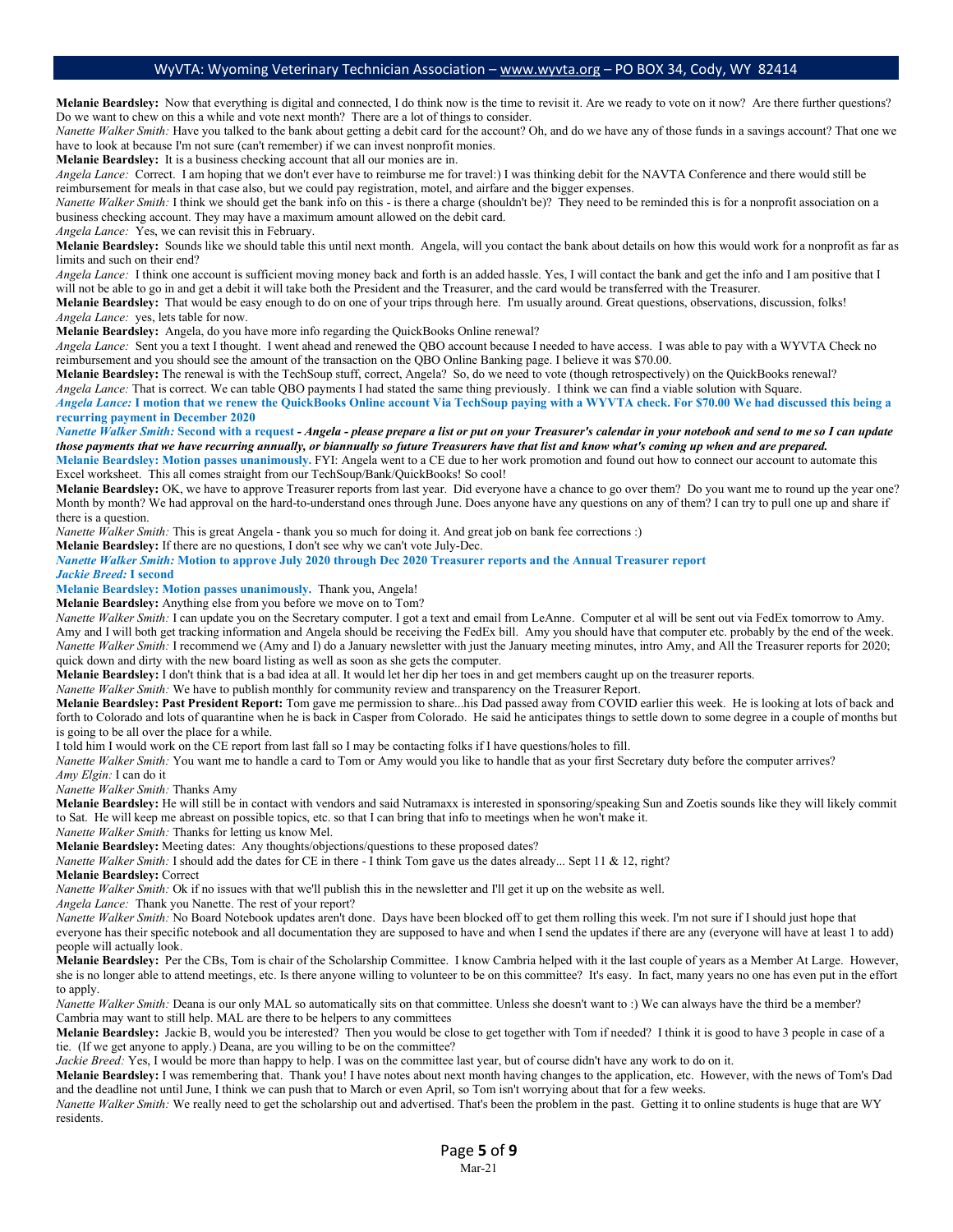Melanie Beardsley: Now that everything is digital and connected, I do think now is the time to revisit it. Are we ready to vote on it now? Are there further questions? Do we want to chew on this a while and vote next month? There are a lot of things to consider.

*Nanette Walker Smith:* Have you talked to the bank about getting a debit card for the account? Oh, and do we have any of those funds in a savings account? That one we have to look at because I'm not sure (can't remember) if we can invest nonprofit monies.

**Melanie Beardsley:** It is a business checking account that all our monies are in.

*Angela Lance:* Correct. I am hoping that we don't ever have to reimburse me for travel:) I was thinking debit for the NAVTA Conference and there would still be reimbursement for meals in that case also, but we could pay registration, motel, and airfare and the bigger expenses.

*Nanette Walker Smith:* I think we should get the bank info on this - is there a charge (shouldn't be)? They need to be reminded this is for a nonprofit association on a business checking account. They may have a maximum amount allowed on the debit card.

*Angela Lance:* Yes, we can revisit this in February.

**Melanie Beardsley:** Sounds like we should table this until next month. Angela, will you contact the bank about details on how this would work for a nonprofit as far as limits and such on their end?

*Angela Lance:* I think one account is sufficient moving money back and forth is an added hassle. Yes, I will contact the bank and get the info and I am positive that I will not be able to go in and get a debit it will take both the President and the Treasurer, and the card would be transferred with the Treasurer.

**Melanie Beardsley:** That would be easy enough to do on one of your trips through here. I'm usually around. Great questions, observations, discussion, folks! *Angela Lance:* yes, lets table for now.

**Melanie Beardsley:** Angela, do you have more info regarding the QuickBooks Online renewal?

*Angela Lance:* Sent you a text I thought. I went ahead and renewed the QBO account because I needed to have access. I was able to pay with a WYVTA Check no reimbursement and you should see the amount of the transaction on the QBO Online Banking page. I believe it was \$70.00.

**Melanie Beardsley:** The renewal is with the TechSoup stuff, correct, Angela? So, do we need to vote (though retrospectively) on the QuickBooks renewal? *Angela Lance:* That is correct. We can table QBO payments I had stated the same thing previously. I think we can find a viable solution with Square. *Angela Lance:* **I motion that we renew the QuickBooks Online account Via TechSoup paying with a WYVTA check. For \$70.00 We had discussed this being a recurring payment in December 2020**

*Nanette Walker Smith:* **Second with a request** *- Angela - please prepare a list or put on your Treasurer's calendar in your notebook and send to me so I can update those payments that we have recurring annually, or biannually so future Treasurers have that list and know what's coming up when and are prepared.* **Melanie Beardsley: Motion passes unanimously.** FYI: Angela went to a CE due to her work promotion and found out how to connect our account to automate this Excel worksheet. This all comes straight from our TechSoup/Bank/QuickBooks! So cool!

Melanie Beardsley: OK, we have to approve Treasurer reports from last year. Did everyone have a chance to go over them? Do you want me to round up the year one? Month by month? We had approval on the hard-to-understand ones through June. Does anyone have any questions on any of them? I can try to pull one up and share if there is a question.

*Nanette Walker Smith:* This is great Angela - thank you so much for doing it. And great job on bank fee corrections :)

**Melanie Beardsley:** If there are no questions, I don't see why we can't vote July-Dec.

*Nanette Walker Smith:* **Motion to approve July 2020 through Dec 2020 Treasurer reports and the Annual Treasurer report**

*Jackie Breed:* **I second** 

**Melanie Beardsley: Motion passes unanimously.** Thank you, Angela!

**Melanie Beardsley:** Anything else from you before we move on to Tom?

*Nanette Walker Smith:* I can update you on the Secretary computer. I got a text and email from LeAnne. Computer et al will be sent out via FedEx tomorrow to Amy. Amy and I will both get tracking information and Angela should be receiving the FedEx bill. Amy you should have that computer etc. probably by the end of the week. *Nanette Walker Smith:* I recommend we (Amy and I) do a January newsletter with just the January meeting minutes, intro Amy, and All the Treasurer reports for 2020; quick down and dirty with the new board listing as well as soon as she gets the computer.

**Melanie Beardsley:** I don't think that is a bad idea at all. It would let her dip her toes in and get members caught up on the treasurer reports.

*Nanette Walker Smith:* We have to publish monthly for community review and transparency on the Treasurer Report.

**Melanie Beardsley: Past President Report:** Tom gave me permission to share...his Dad passed away from COVID earlier this week. He is looking at lots of back and forth to Colorado and lots of quarantine when he is back in Casper from Colorado. He said he anticipates things to settle down to some degree in a couple of months but is going to be all over the place for a while.

I told him I would work on the CE report from last fall so I may be contacting folks if I have questions/holes to fill.

*Nanette Walker Smith:* You want me to handle a card to Tom or Amy would you like to handle that as your first Secretary duty before the computer arrives?

*Amy Elgin:* I can do it

*Nanette Walker Smith:* Thanks Amy

**Melanie Beardsley:** He will still be in contact with vendors and said Nutramaxx is interested in sponsoring/speaking Sun and Zoetis sounds like they will likely commit to Sat. He will keep me abreast on possible topics, etc. so that I can bring that info to meetings when he won't make it.

*Nanette Walker Smith:* Thanks for letting us know Mel.

**Melanie Beardsley:** Meeting dates: Any thoughts/objections/questions to these proposed dates?

*Nanette Walker Smith:* I should add the dates for CE in there - I think Tom gave us the dates already... Sept 11 & 12, right?

**Melanie Beardsley:** Correct

*Nanette Walker Smith:* Ok if no issues with that we'll publish this in the newsletter and I'll get it up on the website as well.

*Angela Lance:* Thank you Nanette. The rest of your report?

*Nanette Walker Smith:* No Board Notebook updates aren't done. Days have been blocked off to get them rolling this week. I'm not sure if I should just hope that everyone has their specific notebook and all documentation they are supposed to have and when I send the updates if there are any (everyone will have at least 1 to add) people will actually look.

**Melanie Beardsley:** Per the CBs, Tom is chair of the Scholarship Committee. I know Cambria helped with it the last couple of years as a Member At Large. However, she is no longer able to attend meetings, etc. Is there anyone willing to volunteer to be on this committee? It's easy. In fact, many years no one has even put in the effort to apply.

*Nanette Walker Smith:* Deana is our only MAL so automatically sits on that committee. Unless she doesn't want to :) We can always have the third be a member? Cambria may want to still help. MAL are there to be helpers to any committees

**Melanie Beardsley:** Jackie B, would you be interested? Then you would be close to get together with Tom if needed? I think it is good to have 3 people in case of a tie. (If we get anyone to apply.) Deana, are you willing to be on the committee?

*Jackie Breed:* Yes, I would be more than happy to help. I was on the committee last year, but of course didn't have any work to do on it.

**Melanie Beardsley:** I was remembering that. Thank you! I have notes about next month having changes to the application, etc. However, with the news of Tom's Dad and the deadline not until June, I think we can push that to March or even April, so Tom isn't worrying about that for a few weeks.

*Nanette Walker Smith:* We really need to get the scholarship out and advertised. That's been the problem in the past. Getting it to online students is huge that are WY residents.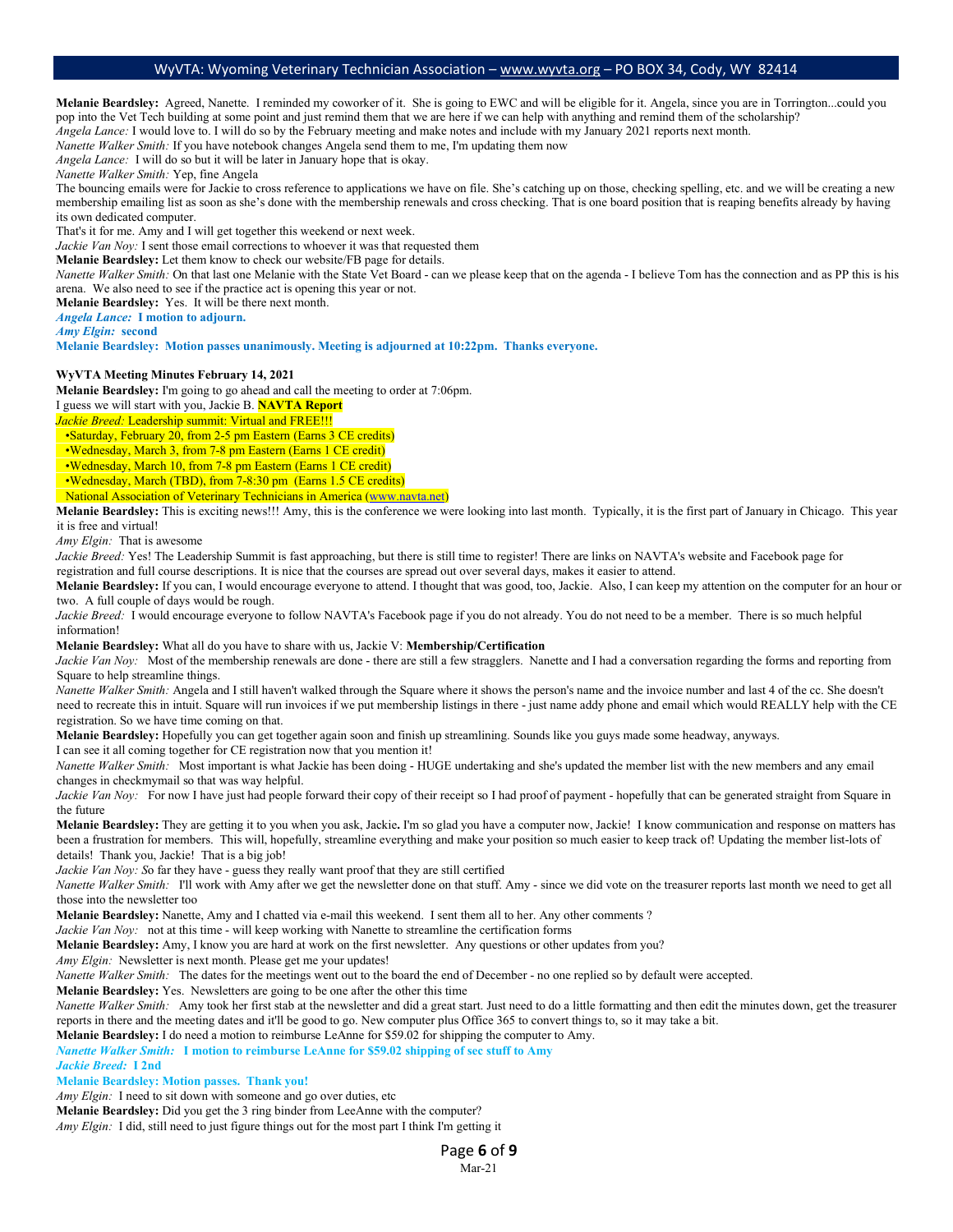**Melanie Beardsley:** Agreed, Nanette. I reminded my coworker of it. She is going to EWC and will be eligible for it. Angela, since you are in Torrington...could you pop into the Vet Tech building at some point and just remind them that we are here if we can help with anything and remind them of the scholarship? *Angela Lance:* I would love to. I will do so by the February meeting and make notes and include with my January 2021 reports next month.

*Nanette Walker Smith:* If you have notebook changes Angela send them to me, I'm updating them now

*Angela Lance:* I will do so but it will be later in January hope that is okay.

*Nanette Walker Smith:* Yep, fine Angela

The bouncing emails were for Jackie to cross reference to applications we have on file. She's catching up on those, checking spelling, etc. and we will be creating a new membership emailing list as soon as she's done with the membership renewals and cross checking. That is one board position that is reaping benefits already by having its own dedicated computer.

That's it for me. Amy and I will get together this weekend or next week.

*Jackie Van Noy:* I sent those email corrections to whoever it was that requested them

**Melanie Beardsley:** Let them know to check our website/FB page for details.

*Nanette Walker Smith:* On that last one Melanie with the State Vet Board - can we please keep that on the agenda - I believe Tom has the connection and as PP this is his arena. We also need to see if the practice act is opening this year or not.

**Melanie Beardsley:** Yes. It will be there next month.

*Angela Lance:* **I motion to adjourn.**

*Amy Elgin:* **second**

**Melanie Beardsley: Motion passes unanimously. Meeting is adjourned at 10:22pm. Thanks everyone.** 

#### **WyVTA Meeting Minutes February 14, 2021**

**Melanie Beardsley:** I'm going to go ahead and call the meeting to order at 7:06pm.

I guess we will start with you, Jackie B. **NAVTA Report**

*Jackie Breed:* Leadership summit: Virtual and FREE!!!

•Saturday, February 20, from 2-5 pm Eastern (Earns 3 CE credits)

•Wednesday, March 3, from 7-8 pm Eastern (Earns 1 CE credit)

•Wednesday, March 10, from 7-8 pm Eastern (Earns 1 CE credit)

•Wednesday, March (TBD), from 7-8:30 pm (Earns 1.5 CE credits)

National Association of Veterinary Technicians in America [\(www.navta.net\)](http://www.navta.net/)

**Melanie Beardsley:** This is exciting news!!! Amy, this is the conference we were looking into last month. Typically, it is the first part of January in Chicago. This year it is free and virtual!

*Amy Elgin:* That is awesome

*Jackie Breed:* Yes! The Leadership Summit is fast approaching, but there is still time to register! There are links on NAVTA's website and Facebook page for registration and full course descriptions. It is nice that the courses are spread out over several days, makes it easier to attend.

**Melanie Beardsley:** If you can, I would encourage everyone to attend. I thought that was good, too, Jackie. Also, I can keep my attention on the computer for an hour or two. A full couple of days would be rough.

*Jackie Breed:* I would encourage everyone to follow NAVTA's Facebook page if you do not already. You do not need to be a member. There is so much helpful information!

**Melanie Beardsley:** What all do you have to share with us, Jackie V: **Membership/Certification**

*Jackie Van Noy:* Most of the membership renewals are done - there are still a few stragglers. Nanette and I had a conversation regarding the forms and reporting from Square to help streamline things.

*Nanette Walker Smith:* Angela and I still haven't walked through the Square where it shows the person's name and the invoice number and last 4 of the cc. She doesn't need to recreate this in intuit. Square will run invoices if we put membership listings in there - just name addy phone and email which would REALLY help with the CE registration. So we have time coming on that.

**Melanie Beardsley:** Hopefully you can get together again soon and finish up streamlining. Sounds like you guys made some headway, anyways.

I can see it all coming together for CE registration now that you mention it!

*Nanette Walker Smith:* Most important is what Jackie has been doing - HUGE undertaking and she's updated the member list with the new members and any email changes in checkmymail so that was way helpful.

*Jackie Van Noy:* For now I have just had people forward their copy of their receipt so I had proof of payment - hopefully that can be generated straight from Square in the future

**Melanie Beardsley:** They are getting it to you when you ask, Jackie**.** I'm so glad you have a computer now, Jackie! I know communication and response on matters has been a frustration for members. This will, hopefully, streamline everything and make your position so much easier to keep track of! Updating the member list-lots of details! Thank you, Jackie! That is a big job!

*Jackie Van Noy: S*o far they have - guess they really want proof that they are still certified

*Nanette Walker Smith:* I'll work with Amy after we get the newsletter done on that stuff. Amy - since we did vote on the treasurer reports last month we need to get all those into the newsletter too

**Melanie Beardsley:** Nanette, Amy and I chatted via e-mail this weekend. I sent them all to her. Any other comments ?

*Jackie Van Noy:* not at this time - will keep working with Nanette to streamline the certification forms

**Melanie Beardsley:** Amy, I know you are hard at work on the first newsletter. Any questions or other updates from you?

*Amy Elgin:* Newsletter is next month. Please get me your updates!

*Nanette Walker Smith:* The dates for the meetings went out to the board the end of December - no one replied so by default were accepted.

**Melanie Beardsley:** Yes. Newsletters are going to be one after the other this time

*Nanette Walker Smith:* Amy took her first stab at the newsletter and did a great start. Just need to do a little formatting and then edit the minutes down, get the treasurer reports in there and the meeting dates and it'll be good to go. New computer plus Office 365 to convert things to, so it may take a bit.

**Melanie Beardsley:** I do need a motion to reimburse LeAnne for \$59.02 for shipping the computer to Amy.

*Nanette Walker Smith:* **I motion to reimburse LeAnne for \$59.02 shipping of sec stuff to Amy**

*Jackie Breed:* **I 2nd**

**Melanie Beardsley: Motion passes. Thank you!**

*Amy Elgin:* I need to sit down with someone and go over duties, etc

**Melanie Beardsley:** Did you get the 3 ring binder from LeeAnne with the computer?

*Amy Elgin:* I did, still need to just figure things out for the most part I think I'm getting it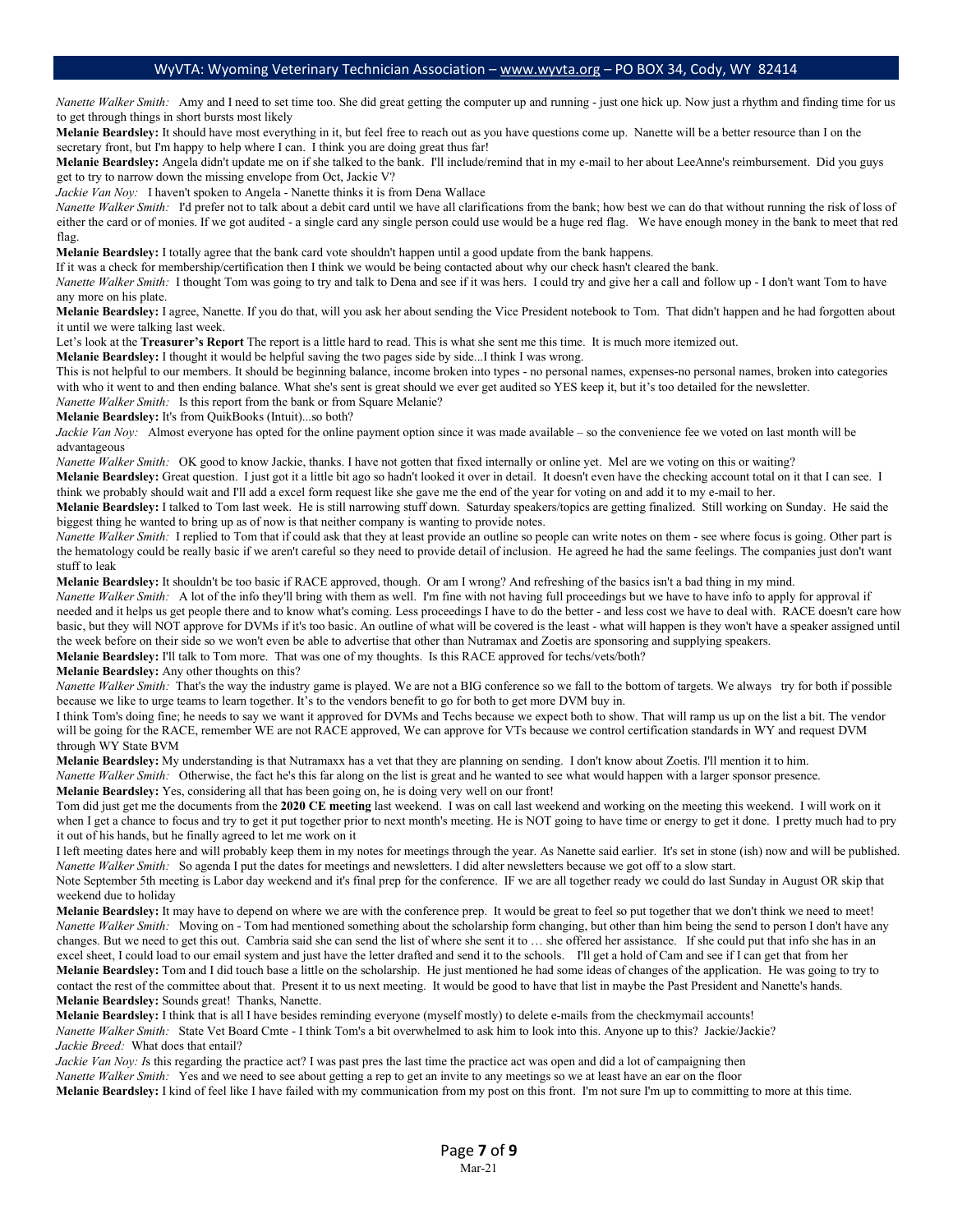*Nanette Walker Smith*: Amy and I need to set time too. She did great getting the computer up and running - just one hick up. Now just a rhythm and finding time for us to get through things in short bursts most likely

**Melanie Beardsley:** It should have most everything in it, but feel free to reach out as you have questions come up. Nanette will be a better resource than I on the secretary front, but I'm happy to help where I can. I think you are doing great thus far!

**Melanie Beardsley:** Angela didn't update me on if she talked to the bank. I'll include/remind that in my e-mail to her about LeeAnne's reimbursement. Did you guys get to try to narrow down the missing envelope from Oct, Jackie V?

*Jackie Van Noy:* I haven't spoken to Angela - Nanette thinks it is from Dena Wallace

*Nanette Walker Smith:* I'd prefer not to talk about a debit card until we have all clarifications from the bank; how best we can do that without running the risk of loss of either the card or of monies. If we got audited - a single card any single person could use would be a huge red flag. We have enough money in the bank to meet that red flag.

**Melanie Beardsley:** I totally agree that the bank card vote shouldn't happen until a good update from the bank happens.

If it was a check for membership/certification then I think we would be being contacted about why our check hasn't cleared the bank.

*Nanette Walker Smith:* I thought Tom was going to try and talk to Dena and see if it was hers. I could try and give her a call and follow up - I don't want Tom to have any more on his plate.

**Melanie Beardsley:** I agree, Nanette. If you do that, will you ask her about sending the Vice President notebook to Tom. That didn't happen and he had forgotten about it until we were talking last week.

Let's look at the **Treasurer's Report** The report is a little hard to read. This is what she sent me this time. It is much more itemized out.

**Melanie Beardsley:** I thought it would be helpful saving the two pages side by side...I think I was wrong.

This is not helpful to our members. It should be beginning balance, income broken into types - no personal names, expenses-no personal names, broken into categories with who it went to and then ending balance. What she's sent is great should we ever get audited so YES keep it, but it's too detailed for the newsletter. *Nanette Walker Smith:* Is this report from the bank or from Square Melanie?

**Melanie Beardsley:** It's from QuikBooks (Intuit)...so both?

*Jackie Van Noy:* Almost everyone has opted for the online payment option since it was made available – so the convenience fee we voted on last month will be advantageous

*Nanette Walker Smith:* OK good to know Jackie, thanks. I have not gotten that fixed internally or online yet. Mel are we voting on this or waiting? **Melanie Beardsley:** Great question. I just got it a little bit ago so hadn't looked it over in detail. It doesn't even have the checking account total on it that I can see. I

think we probably should wait and I'll add a excel form request like she gave me the end of the year for voting on and add it to my e-mail to her.

**Melanie Beardsley:** I talked to Tom last week. He is still narrowing stuff down. Saturday speakers/topics are getting finalized. Still working on Sunday. He said the biggest thing he wanted to bring up as of now is that neither company is wanting to provide notes.

*Nanette Walker Smith:* I replied to Tom that if could ask that they at least provide an outline so people can write notes on them - see where focus is going. Other part is the hematology could be really basic if we aren't careful so they need to provide detail of inclusion. He agreed he had the same feelings. The companies just don't want stuff to leak

**Melanie Beardsley:** It shouldn't be too basic if RACE approved, though. Or am I wrong? And refreshing of the basics isn't a bad thing in my mind.

*Nanette Walker Smith*: A lot of the info they'll bring with them as well. I'm fine with not having full proceedings but we have to have info to apply for approval if needed and it helps us get people there and to know what's coming. Less proceedings I have to do the better - and less cost we have to deal with. RACE doesn't care how basic, but they will NOT approve for DVMs if it's too basic. An outline of what will be covered is the least - what will happen is they won't have a speaker assigned until the week before on their side so we won't even be able to advertise that other than Nutramax and Zoetis are sponsoring and supplying speakers. **Melanie Beardsley:** I'll talk to Tom more. That was one of my thoughts. Is this RACE approved for techs/vets/both?

**Melanie Beardsley:** Any other thoughts on this?

*Nanette Walker Smith:* That's the way the industry game is played. We are not a BIG conference so we fall to the bottom of targets. We always try for both if possible because we like to urge teams to learn together. It's to the vendors benefit to go for both to get more DVM buy in.

I think Tom's doing fine; he needs to say we want it approved for DVMs and Techs because we expect both to show. That will ramp us up on the list a bit. The vendor will be going for the RACE, remember WE are not RACE approved, We can approve for VTs because we control certification standards in WY and request DVM through WY State BVM

**Melanie Beardsley:** My understanding is that Nutramaxx has a vet that they are planning on sending. I don't know about Zoetis. I'll mention it to him. *Nanette Walker Smith:* Otherwise, the fact he's this far along on the list is great and he wanted to see what would happen with a larger sponsor presence.

**Melanie Beardsley:** Yes, considering all that has been going on, he is doing very well on our front!

Tom did just get me the documents from the **2020 CE meeting** last weekend. I was on call last weekend and working on the meeting this weekend. I will work on it when I get a chance to focus and try to get it put together prior to next month's meeting. He is NOT going to have time or energy to get it done. I pretty much had to pry it out of his hands, but he finally agreed to let me work on it

I left meeting dates here and will probably keep them in my notes for meetings through the year. As Nanette said earlier. It's set in stone (ish) now and will be published. *Nanette Walker Smith:* So agenda I put the dates for meetings and newsletters. I did alter newsletters because we got off to a slow start.

Note September 5th meeting is Labor day weekend and it's final prep for the conference. IF we are all together ready we could do last Sunday in August OR skip that weekend due to holiday

Melanie Beardsley: It may have to depend on where we are with the conference prep. It would be great to feel so put together that we don't think we need to meet! *Nanette Walker Smith:* Moving on - Tom had mentioned something about the scholarship form changing, but other than him being the send to person I don't have any changes. But we need to get this out. Cambria said she can send the list of where she sent it to ... she offered her assistance. If she could put that info she has in an excel sheet, I could load to our email system and just have the letter drafted and send it to the schools.I'll get a hold of Cam and see if I can get that from her **Melanie Beardsley:** Tom and I did touch base a little on the scholarship. He just mentioned he had some ideas of changes of the application. He was going to try to contact the rest of the committee about that. Present it to us next meeting. It would be good to have that list in maybe the Past President and Nanette's hands. **Melanie Beardsley:** Sounds great! Thanks, Nanette.

**Melanie Beardsley:** I think that is all I have besides reminding everyone (myself mostly) to delete e-mails from the checkmymail accounts! *Nanette Walker Smith:* State Vet Board Cmte - I think Tom's a bit overwhelmed to ask him to look into this. Anyone up to this? Jackie/Jackie? *Jackie Breed:* What does that entail?

*Jackie Van Noy: I*s this regarding the practice act? I was past pres the last time the practice act was open and did a lot of campaigning then

*Nanette Walker Smith:* Yes and we need to see about getting a rep to get an invite to any meetings so we at least have an ear on the floor

**Melanie Beardsley:** I kind of feel like I have failed with my communication from my post on this front. I'm not sure I'm up to committing to more at this time.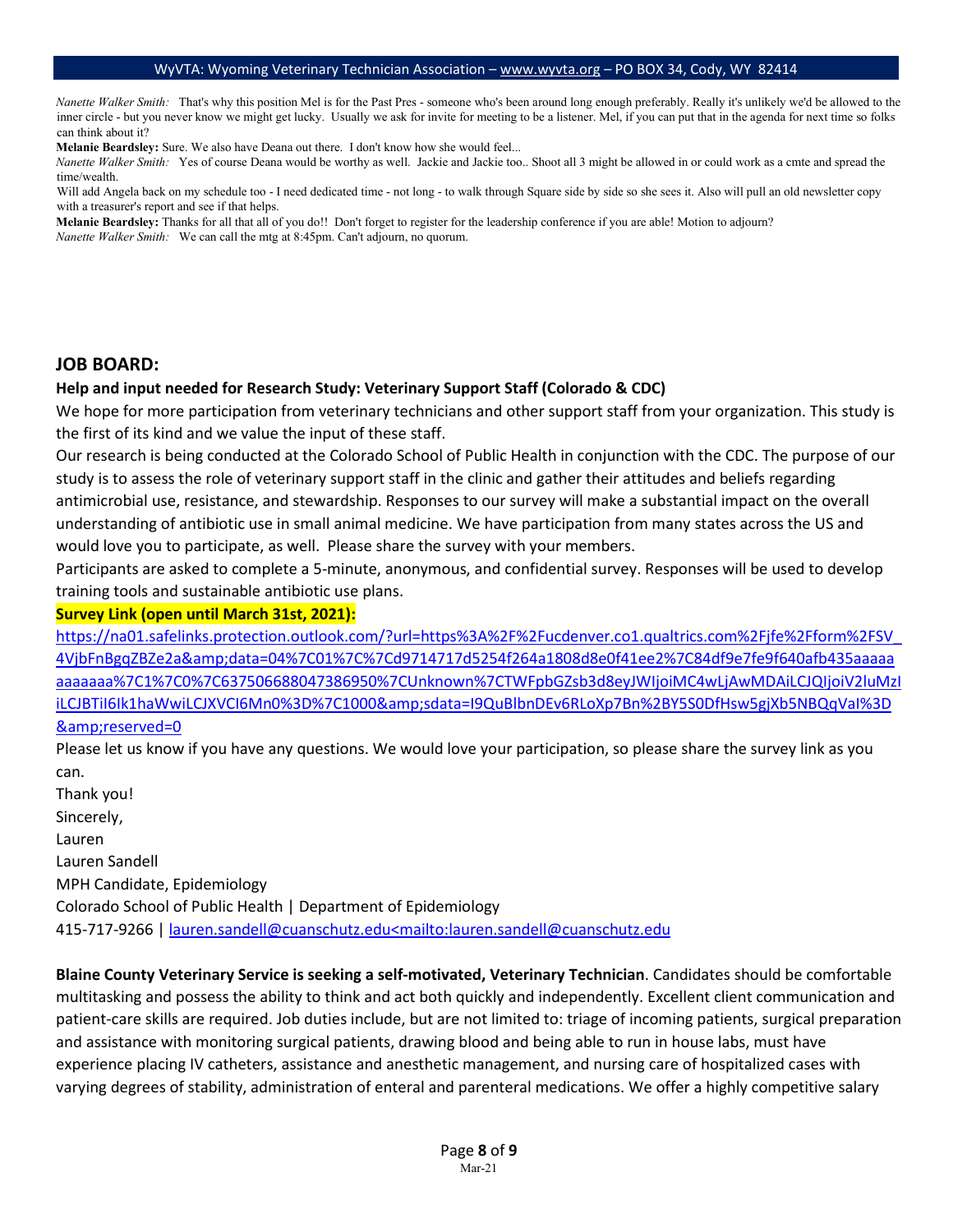*Nanette Walker Smith:* That's why this position Mel is for the Past Pres - someone who's been around long enough preferably. Really it's unlikely we'd be allowed to the inner circle - but you never know we might get lucky. Usually we ask for invite for meeting to be a listener. Mel, if you can put that in the agenda for next time so folks can think about it?

**Melanie Beardsley:** Sure. We also have Deana out there. I don't know how she would feel...

*Nanette Walker Smith:* Yes of course Deana would be worthy as well. Jackie and Jackie too.. Shoot all 3 might be allowed in or could work as a cmte and spread the time/wealth.

Will add Angela back on my schedule too - I need dedicated time - not long - to walk through Square side by side so she sees it. Also will pull an old newsletter copy with a treasurer's report and see if that helps.

**Melanie Beardsley:** Thanks for all that all of you do!! Don't forget to register for the leadership conference if you are able! Motion to adjourn? *Nanette Walker Smith:* We can call the mtg at 8:45pm. Can't adjourn, no quorum.

#### **JOB BOARD:**

#### **Help and input needed for Research Study: Veterinary Support Staff (Colorado & CDC)**

We hope for more participation from veterinary technicians and other support staff from your organization. This study is the first of its kind and we value the input of these staff.

Our research is being conducted at the Colorado School of Public Health in conjunction with the CDC. The purpose of our study is to assess the role of veterinary support staff in the clinic and gather their attitudes and beliefs regarding antimicrobial use, resistance, and stewardship. Responses to our survey will make a substantial impact on the overall understanding of antibiotic use in small animal medicine. We have participation from many states across the US and would love you to participate, as well. Please share the survey with your members.

Participants are asked to complete a 5-minute, anonymous, and confidential survey. Responses will be used to develop training tools and sustainable antibiotic use plans.

#### **Survey Link (open until March 31st, 2021):**

[https://na01.safelinks.protection.outlook.com/?url=https%3A%2F%2Fucdenver.co1.qualtrics.com%2Fjfe%2Fform%2FSV\\_](https://na01.safelinks.protection.outlook.com/?url=https%3A%2F%2Fucdenver.co1.qualtrics.com%2Fjfe%2Fform%2FSV_4VjbFnBgqZBZe2a&data=04%7C01%7C%7Cd9714717d5254f264a1808d8e0f41ee2%7C84df9e7fe9f640afb435aaaaaaaaaaaa%7C1%7C0%7C637506688047386950%7CUnknown%7CTWFpbGZsb3d8eyJWIjoiMC4wLjAwMDAiLCJQIjoiV2luMzIiLCJBTiI6Ik1haWwiLCJXVCI6Mn0%3D%7C1000&sdata=I9QuBlbnDEv6RLoXp7Bn%2BY5S0DfHsw5gjXb5NBQqVaI%3D&reserved=0) [4VjbFnBgqZBZe2a&data=04%7C01%7C%7Cd9714717d5254f264a1808d8e0f41ee2%7C84df9e7fe9f640afb435aaaaa](https://na01.safelinks.protection.outlook.com/?url=https%3A%2F%2Fucdenver.co1.qualtrics.com%2Fjfe%2Fform%2FSV_4VjbFnBgqZBZe2a&data=04%7C01%7C%7Cd9714717d5254f264a1808d8e0f41ee2%7C84df9e7fe9f640afb435aaaaaaaaaaaa%7C1%7C0%7C637506688047386950%7CUnknown%7CTWFpbGZsb3d8eyJWIjoiMC4wLjAwMDAiLCJQIjoiV2luMzIiLCJBTiI6Ik1haWwiLCJXVCI6Mn0%3D%7C1000&sdata=I9QuBlbnDEv6RLoXp7Bn%2BY5S0DfHsw5gjXb5NBQqVaI%3D&reserved=0) aaaaaaa%7C1%7C0%7C637506688047386950%7CUnknown%7CTWFpbGZsb3d8eyJWIjoiMC4wLjAwMDAiLCJQIjoiV2luMzl [iLCJBTiI6Ik1haWwiLCJXVCI6Mn0%3D%7C1000&sdata=I9QuBlbnDEv6RLoXp7Bn%2BY5S0DfHsw5gjXb5NBQqVaI%3D](https://na01.safelinks.protection.outlook.com/?url=https%3A%2F%2Fucdenver.co1.qualtrics.com%2Fjfe%2Fform%2FSV_4VjbFnBgqZBZe2a&data=04%7C01%7C%7Cd9714717d5254f264a1808d8e0f41ee2%7C84df9e7fe9f640afb435aaaaaaaaaaaa%7C1%7C0%7C637506688047386950%7CUnknown%7CTWFpbGZsb3d8eyJWIjoiMC4wLjAwMDAiLCJQIjoiV2luMzIiLCJBTiI6Ik1haWwiLCJXVCI6Mn0%3D%7C1000&sdata=I9QuBlbnDEv6RLoXp7Bn%2BY5S0DfHsw5gjXb5NBQqVaI%3D&reserved=0) [&reserved=0](https://na01.safelinks.protection.outlook.com/?url=https%3A%2F%2Fucdenver.co1.qualtrics.com%2Fjfe%2Fform%2FSV_4VjbFnBgqZBZe2a&data=04%7C01%7C%7Cd9714717d5254f264a1808d8e0f41ee2%7C84df9e7fe9f640afb435aaaaaaaaaaaa%7C1%7C0%7C637506688047386950%7CUnknown%7CTWFpbGZsb3d8eyJWIjoiMC4wLjAwMDAiLCJQIjoiV2luMzIiLCJBTiI6Ik1haWwiLCJXVCI6Mn0%3D%7C1000&sdata=I9QuBlbnDEv6RLoXp7Bn%2BY5S0DfHsw5gjXb5NBQqVaI%3D&reserved=0)

Please let us know if you have any questions. We would love your participation, so please share the survey link as you can.

Thank you! Sincerely, Lauren Lauren Sandell MPH Candidate, Epidemiology Colorado School of Public Health | Department of Epidemiology 415-717-9266 [| lauren.sandell@cuanschutz.edu<mailto:lauren.sandell@cuanschutz.edu](mailto:lauren.sandell@cuanschutz.edu%3Cmailto:lauren.sandell@cuanschutz.edu)

**Blaine County Veterinary Service is seeking a self-motivated, Veterinary Technician**. Candidates should be comfortable multitasking and possess the ability to think and act both quickly and independently. Excellent client communication and patient-care skills are required. Job duties include, but are not limited to: triage of incoming patients, surgical preparation and assistance with monitoring surgical patients, drawing blood and being able to run in house labs, must have experience placing IV catheters, assistance and anesthetic management, and nursing care of hospitalized cases with varying degrees of stability, administration of enteral and parenteral medications. We offer a highly competitive salary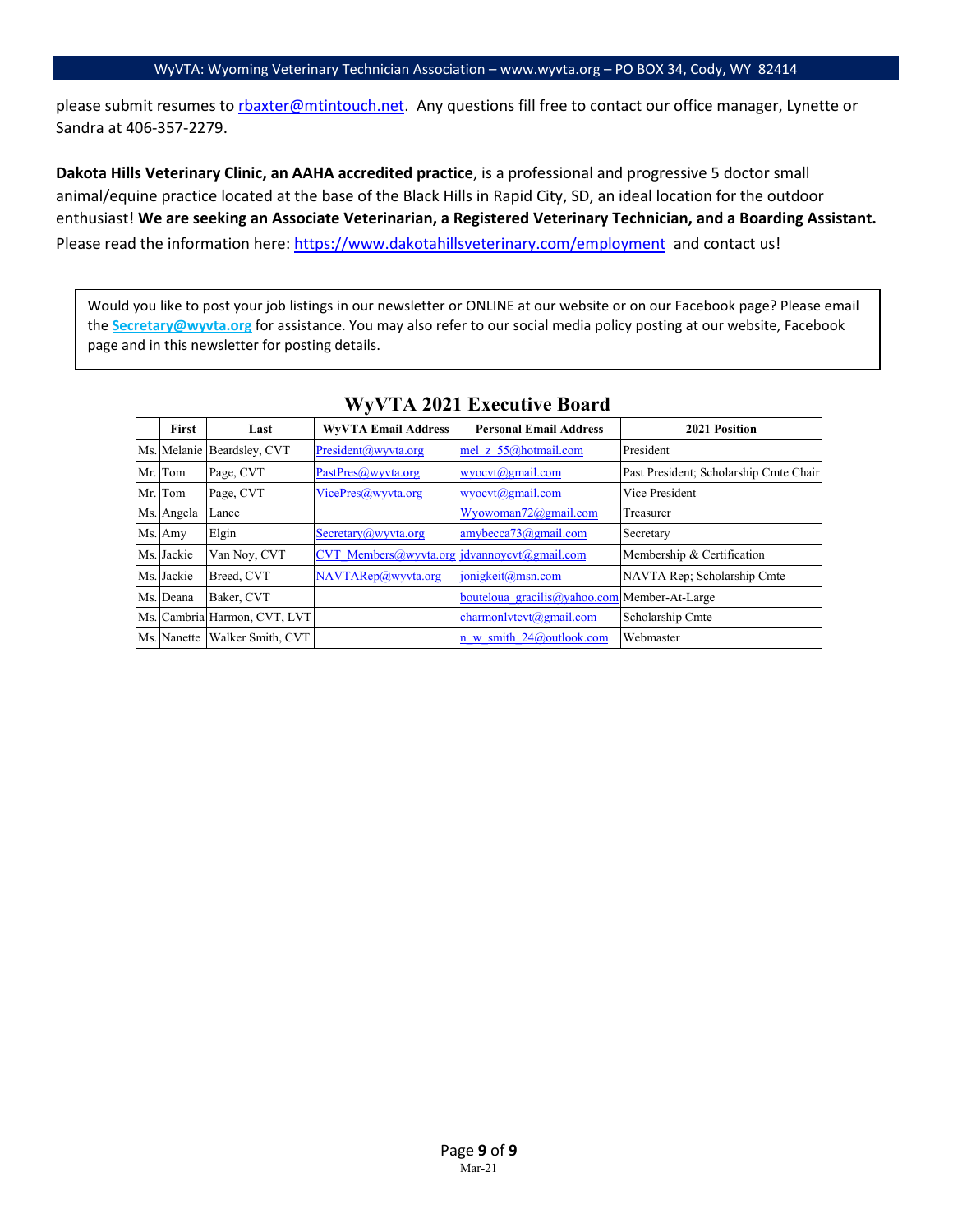please submit resumes to [rbaxter@mtintouch.net.](mailto:rbaxter@mtintouch.net) Any questions fill free to contact our office manager, Lynette or Sandra at 406-357-2279.

**Dakota Hills Veterinary Clinic, an AAHA accredited practice**, is a professional and progressive 5 doctor small animal/equine practice located at the base of the Black Hills in Rapid City, SD, an ideal location for the outdoor enthusiast! **We are seeking an Associate Veterinarian, a Registered Veterinary Technician, and a Boarding Assistant.** Please read the information here:<https://www.dakotahillsveterinary.com/employment> and contact us!

Would you like to post your job listings in our newsletter or ONLINE at our website or on our Facebook page? Please email the **Secretary@wyvta.org** for assistance. You may also refer to our social media policy posting at our website, Facebook page and in this newsletter for posting details.

| First      | Last                          | <b>WVVTA Email Address</b>                  | <b>Personal Email Address</b>                | 2021 Position                          |
|------------|-------------------------------|---------------------------------------------|----------------------------------------------|----------------------------------------|
|            | Ms. Melanie Beardsley, CVT    | President@wyvta.org                         | mel z 55@hotmail.com                         | President                              |
| Mr. Tom    | Page, CVT                     | PastPres@wyvta.org                          | $w\text{vocvt}(a)$ gmail.com                 | Past President; Scholarship Cmte Chair |
| Mr. Tom    | Page, CVT                     | VicePres@wyvta.org                          | $wyocvt(a)$ gmail.com                        | Vice President                         |
| Ms. Angela | Lance                         |                                             | Wyowoman72@gmail.com                         | Treasurer                              |
| Ms. Amy    | Elgin                         | Secretary@wyvta.org                         | $amybecca73$ @gmail.com                      | Secretary                              |
| Ms. Jackie | Van Noy, CVT                  | CVT Members@wyvta.org jdvannoycvt@gmail.com |                                              | Membership & Certification             |
| Ms. Jackie | Breed, CVT                    | NAVTARep@wyvta.org                          | jonigkeit@msn.com                            | NAVTA Rep; Scholarship Cmte            |
| Ms. Deana  | Baker, CVT                    |                                             | bouteloua gracilis@yahoo.com Member-At-Large |                                        |
|            | Ms. Cambria Harmon, CVT, LVT  |                                             | charmonlytcyt@gmail.com                      | Scholarship Cmte                       |
|            | Ms. Nanette Walker Smith, CVT |                                             | n w smith 24@outlook.com                     | Webmaster                              |

### **WyVTA 2021 Executive Board**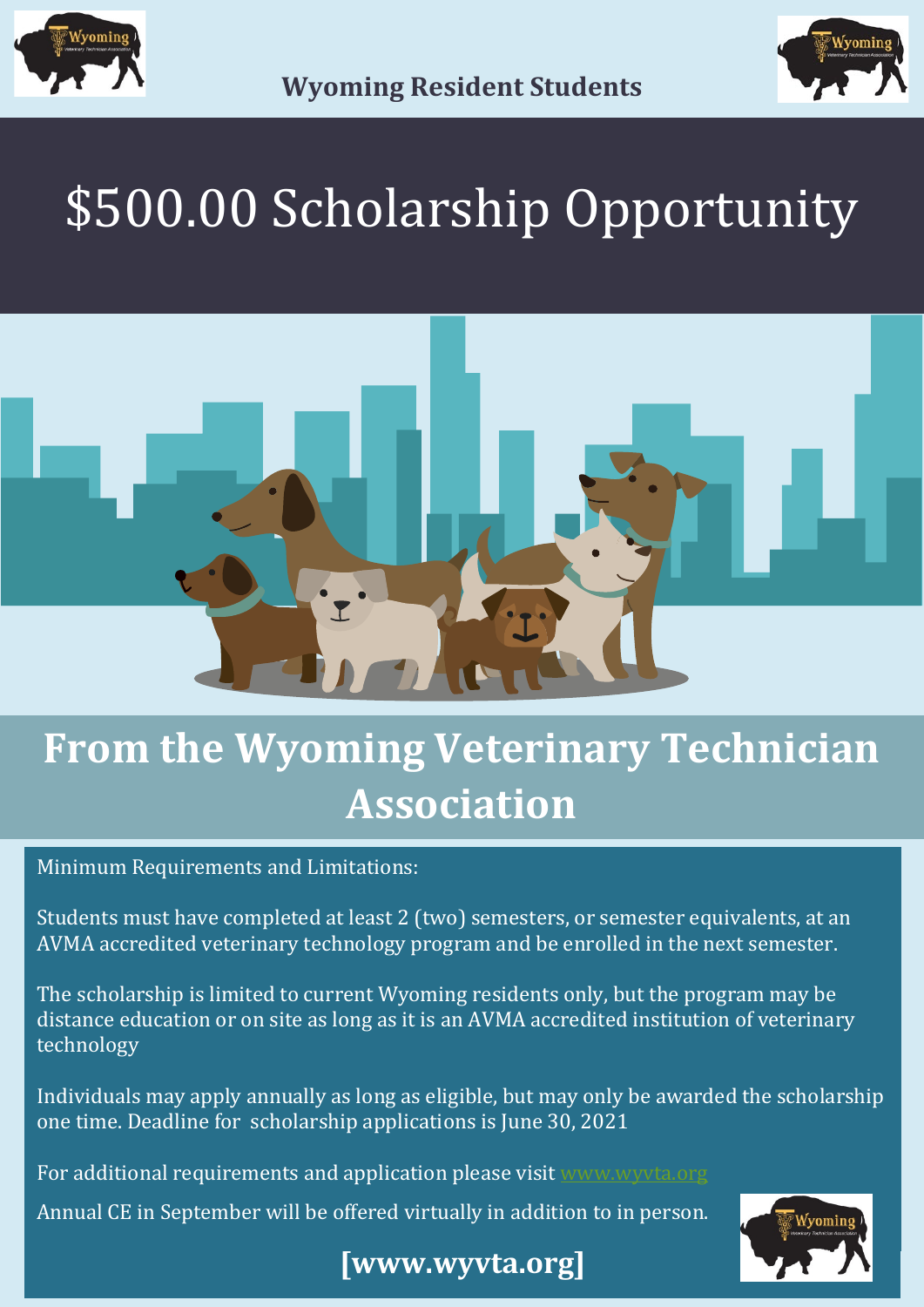



# \$500.00 Scholarship Opportunity



## **From the Wyoming Veterinary Technician Association**

Minimum Requirements and Limitations:

Students must have completed at least 2 (two) semesters, or semester equivalents, at an AVMA accredited veterinary technology program and be enrolled in the next semester.

The scholarship is limited to current Wyoming residents only, but the program may be distance education or on site as long as it is an AVMA accredited institution of veterinary technology

Individuals may apply annually as long as eligible, but may only be awarded the scholarship one time. Deadline for scholarship applications is June 30, 2021

For additional requirements and application please visit www.wyyta.org

Annual CE in September will be offered virtually in addition to in person.



## **[www.wyvta.org]**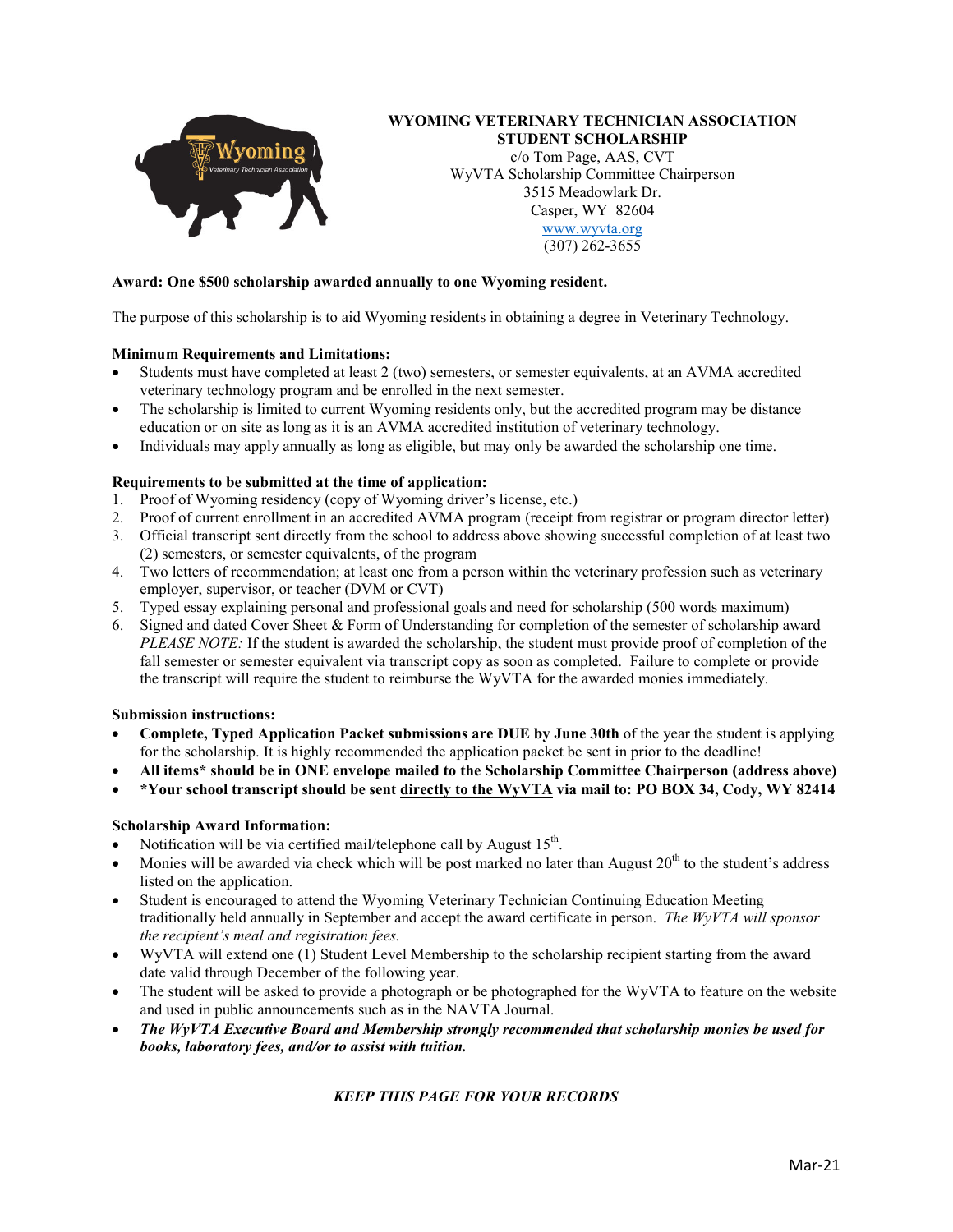

#### **WYOMING VETERINARY TECHNICIAN ASSOCIATION STUDENT SCHOLARSHIP**

c/o Tom Page, AAS, CVT WyVTA Scholarship Committee Chairperson 3515 Meadowlark Dr. Casper, WY 82604 [www.wyvta.org](http://www.wyvta.org/) (307) 262-3655

#### **Award: One \$500 scholarship awarded annually to one Wyoming resident.**

The purpose of this scholarship is to aid Wyoming residents in obtaining a degree in Veterinary Technology.

#### **Minimum Requirements and Limitations:**

- Students must have completed at least 2 (two) semesters, or semester equivalents, at an AVMA accredited veterinary technology program and be enrolled in the next semester.
- The scholarship is limited to current Wyoming residents only, but the accredited program may be distance education or on site as long as it is an AVMA accredited institution of veterinary technology.
- Individuals may apply annually as long as eligible, but may only be awarded the scholarship one time.

#### **Requirements to be submitted at the time of application:**

- 1. Proof of Wyoming residency (copy of Wyoming driver's license, etc.)
- 2. Proof of current enrollment in an accredited AVMA program (receipt from registrar or program director letter)
- 3. Official transcript sent directly from the school to address above showing successful completion of at least two (2) semesters, or semester equivalents, of the program
- 4. Two letters of recommendation; at least one from a person within the veterinary profession such as veterinary employer, supervisor, or teacher (DVM or CVT)
- 5. Typed essay explaining personal and professional goals and need for scholarship (500 words maximum)
- 6. Signed and dated Cover Sheet & Form of Understanding for completion of the semester of scholarship award *PLEASE NOTE:* If the student is awarded the scholarship, the student must provide proof of completion of the fall semester or semester equivalent via transcript copy as soon as completed. Failure to complete or provide the transcript will require the student to reimburse the WyVTA for the awarded monies immediately.

#### **Submission instructions:**

- **Complete, Typed Application Packet submissions are DUE by June 30th** of the year the student is applying for the scholarship. It is highly recommended the application packet be sent in prior to the deadline!
- **All items\* should be in ONE envelope mailed to the Scholarship Committee Chairperson (address above)**
- **\*Your school transcript should be sent directly to the WyVTA via mail to: PO BOX 34, Cody, WY 82414**

#### **Scholarship Award Information:**

- Notification will be via certified mail/telephone call by August 15<sup>th</sup>.
- Monies will be awarded via check which will be post marked no later than August  $20<sup>th</sup>$  to the student's address listed on the application.
- Student is encouraged to attend the Wyoming Veterinary Technician Continuing Education Meeting traditionally held annually in September and accept the award certificate in person. *The WyVTA will sponsor the recipient's meal and registration fees.*
- WyVTA will extend one (1) Student Level Membership to the scholarship recipient starting from the award date valid through December of the following year.
- The student will be asked to provide a photograph or be photographed for the WyVTA to feature on the website and used in public announcements such as in the NAVTA Journal.
- *The WyVTA Executive Board and Membership strongly recommended that scholarship monies be used for books, laboratory fees, and/or to assist with tuition.*

#### *KEEP THIS PAGE FOR YOUR RECORDS*